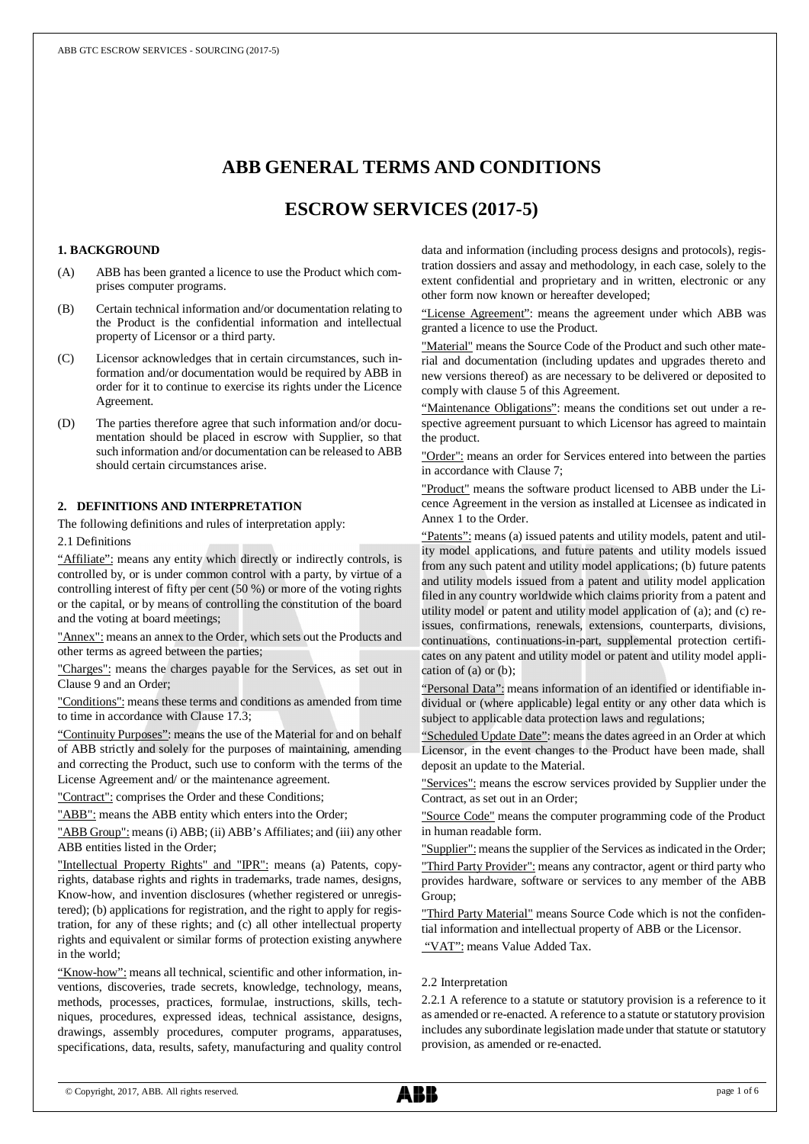# **ABB GENERAL TERMS AND CONDITIONS**

## **ESCROW SERVICES (2017-5)**

#### **1. BACKGROUND**

- (A) ABB has been granted a licence to use the Product which comprises computer programs.
- (B) Certain technical information and/or documentation relating to the Product is the confidential information and intellectual property of Licensor or a third party.
- (C) Licensor acknowledges that in certain circumstances, such information and/or documentation would be required by ABB in order for it to continue to exercise its rights under the Licence Agreement.
- (D) The parties therefore agree that such information and/or documentation should be placed in escrow with Supplier, so that such information and/or documentation can be released to ABB should certain circumstances arise.

## **2. DEFINITIONS AND INTERPRETATION**

The following definitions and rules of interpretation apply:

## 2.1 Definitions

"Affiliate": means any entity which directly or indirectly controls, is controlled by, or is under common control with a party, by virtue of a controlling interest of fifty per cent (50 %) or more of the voting rights or the capital, or by means of controlling the constitution of the board and the voting at board meetings;

"Annex": means an annex to the Order, which sets out the Products and other terms as agreed between the parties;

"Charges": means the charges payable for the Services, as set out in Clause 9 and an Order;

"Conditions": means these terms and conditions as amended from time to time in accordance with Clause 17.3;

"Continuity Purposes": means the use of the Material for and on behalf of ABB strictly and solely for the purposes of maintaining, amending and correcting the Product, such use to conform with the terms of the License Agreement and/ or the maintenance agreement.

"Contract": comprises the Order and these Conditions;

"ABB": means the ABB entity which enters into the Order;

"ABB Group": means (i) ABB; (ii) ABB's Affiliates; and (iii) any other ABB entities listed in the Order;

"Intellectual Property Rights" and "IPR": means (a) Patents, copyrights, database rights and rights in trademarks, trade names, designs, Know-how, and invention disclosures (whether registered or unregistered); (b) applications for registration, and the right to apply for registration, for any of these rights; and (c) all other intellectual property rights and equivalent or similar forms of protection existing anywhere in the world;

"Know-how": means all technical, scientific and other information, inventions, discoveries, trade secrets, knowledge, technology, means, methods, processes, practices, formulae, instructions, skills, techniques, procedures, expressed ideas, technical assistance, designs, drawings, assembly procedures, computer programs, apparatuses, specifications, data, results, safety, manufacturing and quality control

data and information (including process designs and protocols), registration dossiers and assay and methodology, in each case, solely to the extent confidential and proprietary and in written, electronic or any other form now known or hereafter developed;

"License Agreement": means the agreement under which ABB was granted a licence to use the Product.

"Material" means the Source Code of the Product and such other material and documentation (including updates and upgrades thereto and new versions thereof) as are necessary to be delivered or deposited to comply with clause 5 of this Agreement.

"Maintenance Obligations": means the conditions set out under a respective agreement pursuant to which Licensor has agreed to maintain the product.

"Order": means an order for Services entered into between the parties in accordance with Clause 7;

"Product" means the software product licensed to ABB under the Licence Agreement in the version as installed at Licensee as indicated in Annex 1 to the Order.

"Patents": means (a) issued patents and utility models, patent and utility model applications, and future patents and utility models issued from any such patent and utility model applications; (b) future patents and utility models issued from a patent and utility model application filed in any country worldwide which claims priority from a patent and utility model or patent and utility model application of (a); and (c) reissues, confirmations, renewals, extensions, counterparts, divisions, continuations, continuations-in-part, supplemental protection certificates on any patent and utility model or patent and utility model application of (a) or (b);

"Personal Data": means information of an identified or identifiable individual or (where applicable) legal entity or any other data which is subject to applicable data protection laws and regulations;

"Scheduled Update Date": means the dates agreed in an Order at which Licensor, in the event changes to the Product have been made, shall deposit an update to the Material.

"Services": means the escrow services provided by Supplier under the Contract, as set out in an Order;

"Source Code" means the computer programming code of the Product in human readable form.

"Supplier": means the supplier of the Services as indicated in the Order;

"Third Party Provider": means any contractor, agent or third party who provides hardware, software or services to any member of the ABB Group;

"Third Party Material" means Source Code which is not the confidential information and intellectual property of ABB or the Licensor.

"VAT": means Value Added Tax.

#### 2.2 Interpretation

2.2.1 A reference to a statute or statutory provision is a reference to it as amended or re-enacted. A reference to a statute or statutory provision includes any subordinate legislation made under that statute or statutory provision, as amended or re-enacted.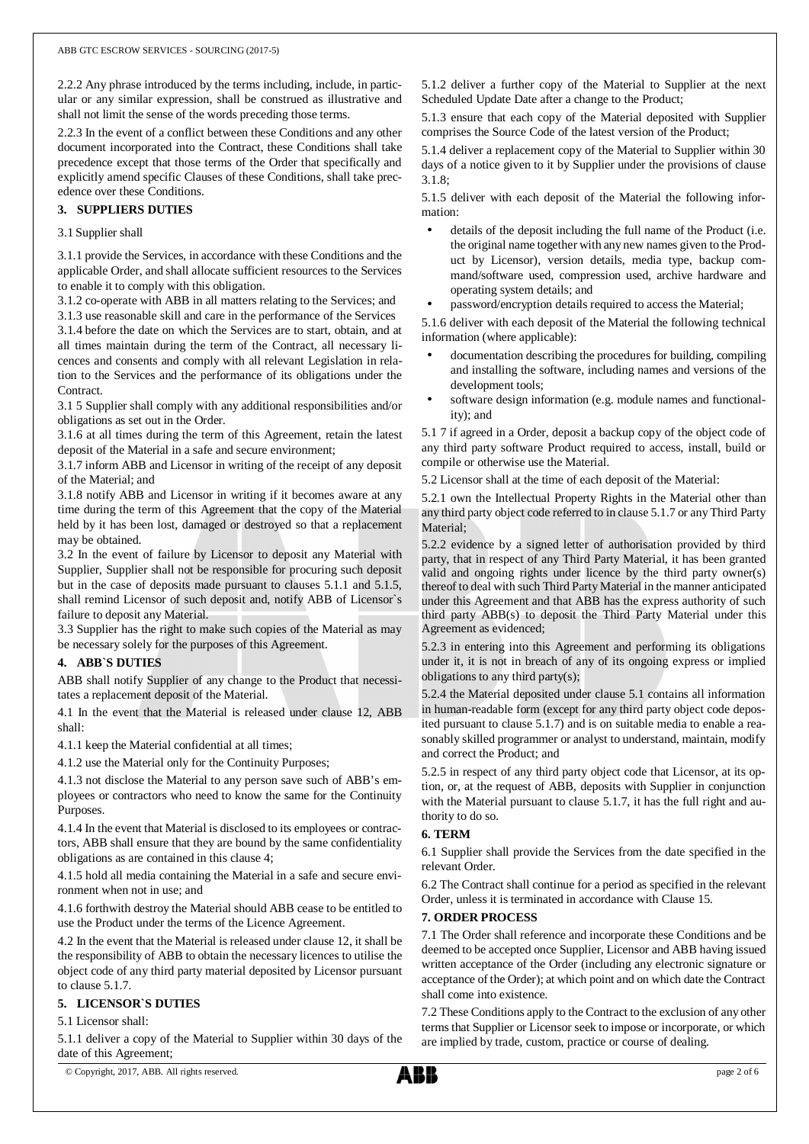2.2.2 Any phrase introduced by the terms including, include, in particular or any similar expression, shall be construed as illustrative and shall not limit the sense of the words preceding those terms.

2.2.3 In the event of a conflict between these Conditions and any other document incorporated into the Contract, these Conditions shall take precedence except that those terms of the Order that specifically and explicitly amend specific Clauses of these Conditions, shall take precedence over these Conditions.

## **3. SUPPLIERS DUTIES**

#### 3.1 Supplier shall

 3.1.1 provide the Services, in accordance with these Conditions and the applicable Order, and shall allocate sufficient resources to the Services to enable it to comply with this obligation.

3.1.2 co-operate with ABB in all matters relating to the Services; and

 3.1.3 use reasonable skill and care in the performance of the Services 3.1.4 before the date on which the Services are to start, obtain, and at all times maintain during the term of the Contract, all necessary licences and consents and comply with all relevant Legislation in relation to the Services and the performance of its obligations under the Contract.

 3.1 5 Supplier shall comply with any additional responsibilities and/or obligations as set out in the Order.

3.1.6 at all times during the term of this Agreement, retain the latest deposit of the Material in a safe and secure environment;

3.1.7 inform ABB and Licensor in writing of the receipt of any deposit of the Material; and

3.1.8 notify ABB and Licensor in writing if it becomes aware at any time during the term of this Agreement that the copy of the Material held by it has been lost, damaged or destroyed so that a replacement may be obtained.

3.2 In the event of failure by Licensor to deposit any Material with Supplier, Supplier shall not be responsible for procuring such deposit but in the case of deposits made pursuant to clauses 5.1.1 and 5.1.5, shall remind Licensor of such deposit and, notify ABB of Licensor`s failure to deposit any Material.

3.3 Supplier has the right to make such copies of the Material as may be necessary solely for the purposes of this Agreement.

#### **4. ABB`S DUTIES**

ABB shall notify Supplier of any change to the Product that necessitates a replacement deposit of the Material.

4.1 In the event that the Material is released under clause 12, ABB shall:

4.1.1 keep the Material confidential at all times;

4.1.2 use the Material only for the Continuity Purposes;

4.1.3 not disclose the Material to any person save such of ABB's employees or contractors who need to know the same for the Continuity Purposes.

4.1.4 In the event that Material is disclosed to its employees or contractors, ABB shall ensure that they are bound by the same confidentiality obligations as are contained in this clause 4;

4.1.5 hold all media containing the Material in a safe and secure environment when not in use; and

4.1.6 forthwith destroy the Material should ABB cease to be entitled to use the Product under the terms of the Licence Agreement.

4.2 In the event that the Material is released under clause 12, it shall be the responsibility of ABB to obtain the necessary licences to utilise the object code of any third party material deposited by Licensor pursuant to clause 5.1.7.

## **5. LICENSOR`S DUTIES**

5.1 Licensor shall:

5.1.1 deliver a copy of the Material to Supplier within 30 days of the date of this Agreement;

5.1.2 deliver a further copy of the Material to Supplier at the next Scheduled Update Date after a change to the Product;

5.1.3 ensure that each copy of the Material deposited with Supplier comprises the Source Code of the latest version of the Product;

5.1.4 deliver a replacement copy of the Material to Supplier within 30 days of a notice given to it by Supplier under the provisions of clause 3.1.8;

5.1.5 deliver with each deposit of the Material the following information:

- details of the deposit including the full name of the Product (i.e. the original name together with any new names given to the Product by Licensor), version details, media type, backup command/software used, compression used, archive hardware and operating system details; and
- password/encryption details required to access the Material;

5.1.6 deliver with each deposit of the Material the following technical information (where applicable):

- documentation describing the procedures for building, compiling and installing the software, including names and versions of the development tools;
- software design information (e.g. module names and functionality); and

5.1 7 if agreed in a Order, deposit a backup copy of the object code of any third party software Product required to access, install, build or compile or otherwise use the Material.

5.2 Licensor shall at the time of each deposit of the Material:

5.2.1 own the Intellectual Property Rights in the Material other than any third party object code referred to in clause 5.1.7 or any Third Party Material;

5.2.2 evidence by a signed letter of authorisation provided by third party, that in respect of any Third Party Material, it has been granted valid and ongoing rights under licence by the third party owner(s) thereof to deal with such Third Party Material in the manner anticipated under this Agreement and that ABB has the express authority of such third party ABB(s) to deposit the Third Party Material under this Agreement as evidenced;

5.2.3 in entering into this Agreement and performing its obligations under it, it is not in breach of any of its ongoing express or implied obligations to any third party(s);

5.2.4 the Material deposited under clause 5.1 contains all information in human-readable form (except for any third party object code deposited pursuant to clause 5.1.7) and is on suitable media to enable a reasonably skilled programmer or analyst to understand, maintain, modify and correct the Product; and

5.2.5 in respect of any third party object code that Licensor, at its option, or, at the request of ABB, deposits with Supplier in conjunction with the Material pursuant to clause 5.1.7, it has the full right and authority to do so.

#### **6. TERM**

6.1 Supplier shall provide the Services from the date specified in the relevant Order.

6.2 The Contract shall continue for a period as specified in the relevant Order, unless it is terminated in accordance with Clause 15.

#### **7. ORDER PROCESS**

7.1 The Order shall reference and incorporate these Conditions and be deemed to be accepted once Supplier, Licensor and ABB having issued written acceptance of the Order (including any electronic signature or acceptance of the Order); at which point and on which date the Contract shall come into existence.

7.2 These Conditions apply to the Contract to the exclusion of any other terms that Supplier or Licensor seek to impose or incorporate, or which are implied by trade, custom, practice or course of dealing.

© Copyright, 2017, ABB. All rights reserved. page 2 of 6

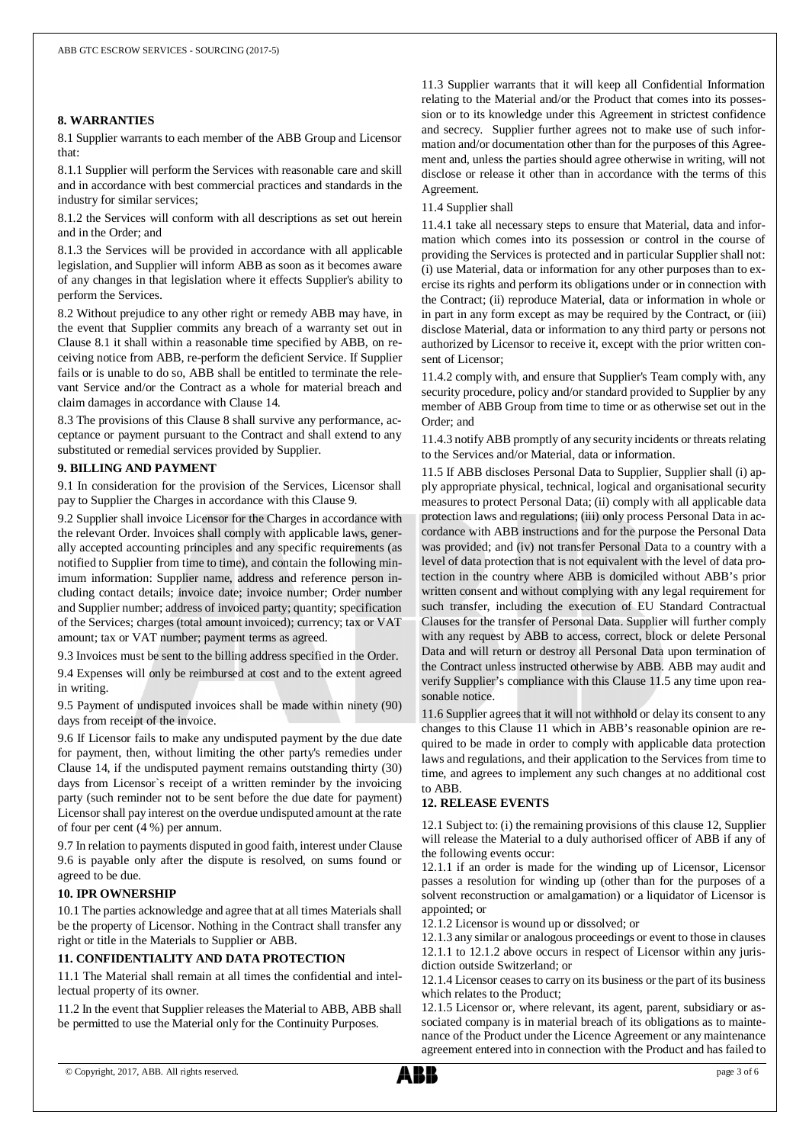## **8. WARRANTIES**

8.1 Supplier warrants to each member of the ABB Group and Licensor that:

8.1.1 Supplier will perform the Services with reasonable care and skill and in accordance with best commercial practices and standards in the industry for similar services;

8.1.2 the Services will conform with all descriptions as set out herein and in the Order; and

8.1.3 the Services will be provided in accordance with all applicable legislation, and Supplier will inform ABB as soon as it becomes aware of any changes in that legislation where it effects Supplier's ability to perform the Services.

8.2 Without prejudice to any other right or remedy ABB may have, in the event that Supplier commits any breach of a warranty set out in Clause 8.1 it shall within a reasonable time specified by ABB, on receiving notice from ABB, re-perform the deficient Service. If Supplier fails or is unable to do so, ABB shall be entitled to terminate the relevant Service and/or the Contract as a whole for material breach and claim damages in accordance with Clause 14.

8.3 The provisions of this Clause 8 shall survive any performance, acceptance or payment pursuant to the Contract and shall extend to any substituted or remedial services provided by Supplier.

#### **9. BILLING AND PAYMENT**

9.1 In consideration for the provision of the Services, Licensor shall pay to Supplier the Charges in accordance with this Clause 9.

9.2 Supplier shall invoice Licensor for the Charges in accordance with the relevant Order. Invoices shall comply with applicable laws, generally accepted accounting principles and any specific requirements (as notified to Supplier from time to time), and contain the following minimum information: Supplier name, address and reference person including contact details; invoice date; invoice number; Order number and Supplier number; address of invoiced party; quantity; specification of the Services; charges (total amount invoiced); currency; tax or VAT amount; tax or VAT number; payment terms as agreed.

9.3 Invoices must be sent to the billing address specified in the Order.

9.4 Expenses will only be reimbursed at cost and to the extent agreed in writing.

9.5 Payment of undisputed invoices shall be made within ninety (90) days from receipt of the invoice.

9.6 If Licensor fails to make any undisputed payment by the due date for payment, then, without limiting the other party's remedies under Clause 14, if the undisputed payment remains outstanding thirty (30) days from Licensor`s receipt of a written reminder by the invoicing party (such reminder not to be sent before the due date for payment) Licensor shall pay interest on the overdue undisputed amount at the rate of four per cent (4 %) per annum.

9.7 In relation to payments disputed in good faith, interest under Clause 9.6 is payable only after the dispute is resolved, on sums found or agreed to be due.

#### **10. IPR OWNERSHIP**

10.1 The parties acknowledge and agree that at all times Materials shall be the property of Licensor. Nothing in the Contract shall transfer any right or title in the Materials to Supplier or ABB.

#### **11. CONFIDENTIALITY AND DATA PROTECTION**

11.1 The Material shall remain at all times the confidential and intellectual property of its owner.

11.2 In the event that Supplier releases the Material to ABB, ABB shall be permitted to use the Material only for the Continuity Purposes.

11.3 Supplier warrants that it will keep all Confidential Information relating to the Material and/or the Product that comes into its possession or to its knowledge under this Agreement in strictest confidence and secrecy. Supplier further agrees not to make use of such information and/or documentation other than for the purposes of this Agreement and, unless the parties should agree otherwise in writing, will not disclose or release it other than in accordance with the terms of this Agreement.

#### 11.4 Supplier shall

11.4.1 take all necessary steps to ensure that Material, data and information which comes into its possession or control in the course of providing the Services is protected and in particular Supplier shall not: (i) use Material, data or information for any other purposes than to exercise its rights and perform its obligations under or in connection with the Contract; (ii) reproduce Material, data or information in whole or in part in any form except as may be required by the Contract, or (iii) disclose Material, data or information to any third party or persons not authorized by Licensor to receive it, except with the prior written consent of Licensor;

11.4.2 comply with, and ensure that Supplier's Team comply with, any security procedure, policy and/or standard provided to Supplier by any member of ABB Group from time to time or as otherwise set out in the Order; and

11.4.3 notify ABB promptly of any security incidents or threats relating to the Services and/or Material, data or information.

11.5 If ABB discloses Personal Data to Supplier, Supplier shall (i) apply appropriate physical, technical, logical and organisational security measures to protect Personal Data; (ii) comply with all applicable data protection laws and regulations; (iii) only process Personal Data in accordance with ABB instructions and for the purpose the Personal Data was provided; and (iv) not transfer Personal Data to a country with a level of data protection that is not equivalent with the level of data protection in the country where ABB is domiciled without ABB's prior written consent and without complying with any legal requirement for such transfer, including the execution of EU Standard Contractual Clauses for the transfer of Personal Data. Supplier will further comply with any request by ABB to access, correct, block or delete Personal Data and will return or destroy all Personal Data upon termination of the Contract unless instructed otherwise by ABB. ABB may audit and verify Supplier's compliance with this Clause 11.5 any time upon reasonable notice.

11.6 Supplier agrees that it will not withhold or delay its consent to any changes to this Clause 11 which in ABB's reasonable opinion are required to be made in order to comply with applicable data protection laws and regulations, and their application to the Services from time to time, and agrees to implement any such changes at no additional cost to ABB.

## **12. RELEASE EVENTS**

12.1 Subject to: (i) the remaining provisions of this clause 12, Supplier will release the Material to a duly authorised officer of ABB if any of the following events occur:

12.1.1 if an order is made for the winding up of Licensor, Licensor passes a resolution for winding up (other than for the purposes of a solvent reconstruction or amalgamation) or a liquidator of Licensor is appointed; or

12.1.2 Licensor is wound up or dissolved; or

12.1.3 any similar or analogous proceedings or event to those in clauses 12.1.1 to 12.1.2 above occurs in respect of Licensor within any jurisdiction outside Switzerland; or

12.1.4 Licensor ceases to carry on its business or the part of its business which relates to the Product;

12.1.5 Licensor or, where relevant, its agent, parent, subsidiary or associated company is in material breach of its obligations as to maintenance of the Product under the Licence Agreement or any maintenance agreement entered into in connection with the Product and has failed to

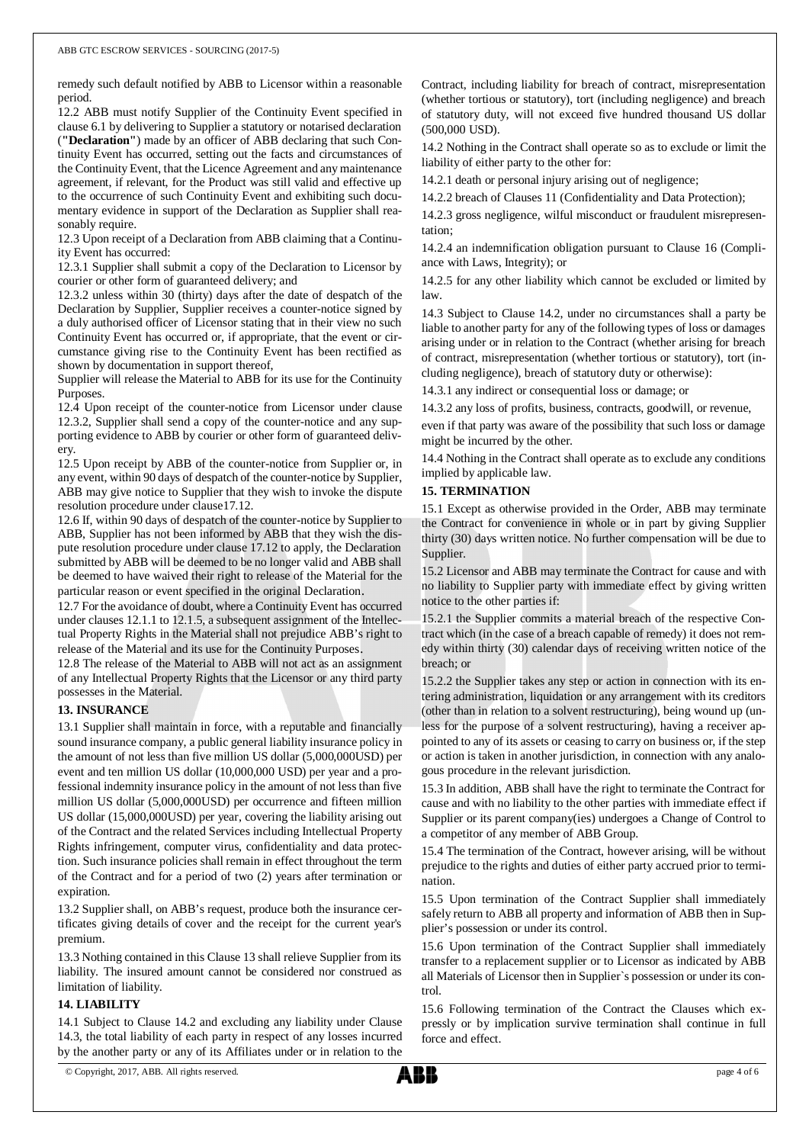remedy such default notified by ABB to Licensor within a reasonable period.

12.2 ABB must notify Supplier of the Continuity Event specified in clause 6.1 by delivering to Supplier a statutory or notarised declaration (**"Declaration"**) made by an officer of ABB declaring that such Continuity Event has occurred, setting out the facts and circumstances of the Continuity Event, that the Licence Agreement and any maintenance agreement, if relevant, for the Product was still valid and effective up to the occurrence of such Continuity Event and exhibiting such documentary evidence in support of the Declaration as Supplier shall reasonably require.

12.3 Upon receipt of a Declaration from ABB claiming that a Continuity Event has occurred:

12.3.1 Supplier shall submit a copy of the Declaration to Licensor by courier or other form of guaranteed delivery; and

12.3.2 unless within 30 (thirty) days after the date of despatch of the Declaration by Supplier, Supplier receives a counter-notice signed by a duly authorised officer of Licensor stating that in their view no such Continuity Event has occurred or, if appropriate, that the event or circumstance giving rise to the Continuity Event has been rectified as shown by documentation in support thereof,

Supplier will release the Material to ABB for its use for the Continuity Purposes.

12.4 Upon receipt of the counter-notice from Licensor under clause 12.3.2, Supplier shall send a copy of the counter-notice and any supporting evidence to ABB by courier or other form of guaranteed delivery.

12.5 Upon receipt by ABB of the counter-notice from Supplier or, in any event, within 90 days of despatch of the counter-notice by Supplier, ABB may give notice to Supplier that they wish to invoke the dispute resolution procedure under clause17.12.

12.6 If, within 90 days of despatch of the counter-notice by Supplier to ABB, Supplier has not been informed by ABB that they wish the dispute resolution procedure under clause 17.12 to apply, the Declaration submitted by ABB will be deemed to be no longer valid and ABB shall be deemed to have waived their right to release of the Material for the particular reason or event specified in the original Declaration.

12.7 For the avoidance of doubt, where a Continuity Event has occurred under clauses 12.1.1 to 12.1.5, a subsequent assignment of the Intellectual Property Rights in the Material shall not prejudice ABB's right to release of the Material and its use for the Continuity Purposes.

12.8 The release of the Material to ABB will not act as an assignment of any Intellectual Property Rights that the Licensor or any third party possesses in the Material.

#### **13. INSURANCE**

13.1 Supplier shall maintain in force, with a reputable and financially sound insurance company, a public general liability insurance policy in the amount of not less than five million US dollar (5,000,000USD) per event and ten million US dollar (10,000,000 USD) per year and a professional indemnity insurance policy in the amount of not less than five million US dollar (5,000,000USD) per occurrence and fifteen million US dollar (15,000,000USD) per year, covering the liability arising out of the Contract and the related Services including Intellectual Property Rights infringement, computer virus, confidentiality and data protection. Such insurance policies shall remain in effect throughout the term of the Contract and for a period of two (2) years after termination or expiration.

13.2 Supplier shall, on ABB's request, produce both the insurance certificates giving details of cover and the receipt for the current year's premium.

13.3 Nothing contained in this Clause 13 shall relieve Supplier from its liability. The insured amount cannot be considered nor construed as limitation of liability.

## **14. LIABILITY**

14.1 Subject to Clause 14.2 and excluding any liability under Clause 14.3, the total liability of each party in respect of any losses incurred by the another party or any of its Affiliates under or in relation to the

Contract, including liability for breach of contract, misrepresentation (whether tortious or statutory), tort (including negligence) and breach of statutory duty, will not exceed five hundred thousand US dollar (500,000 USD).

14.2 Nothing in the Contract shall operate so as to exclude or limit the liability of either party to the other for:

14.2.1 death or personal injury arising out of negligence;

14.2.2 breach of Clauses 11 (Confidentiality and Data Protection);

14.2.3 gross negligence, wilful misconduct or fraudulent misrepresentation;

14.2.4 an indemnification obligation pursuant to Clause 16 (Compliance with Laws, Integrity); or

14.2.5 for any other liability which cannot be excluded or limited by law.

14.3 Subject to Clause 14.2, under no circumstances shall a party be liable to another party for any of the following types of loss or damages arising under or in relation to the Contract (whether arising for breach of contract, misrepresentation (whether tortious or statutory), tort (including negligence), breach of statutory duty or otherwise):

14.3.1 any indirect or consequential loss or damage; or

14.3.2 any loss of profits, business, contracts, goodwill, or revenue,

even if that party was aware of the possibility that such loss or damage might be incurred by the other.

14.4 Nothing in the Contract shall operate as to exclude any conditions implied by applicable law.

#### **15. TERMINATION**

15.1 Except as otherwise provided in the Order, ABB may terminate the Contract for convenience in whole or in part by giving Supplier thirty (30) days written notice. No further compensation will be due to Supplier.

15.2 Licensor and ABB may terminate the Contract for cause and with no liability to Supplier party with immediate effect by giving written notice to the other parties if:

15.2.1 the Supplier commits a material breach of the respective Contract which (in the case of a breach capable of remedy) it does not remedy within thirty (30) calendar days of receiving written notice of the breach; or

15.2.2 the Supplier takes any step or action in connection with its entering administration, liquidation or any arrangement with its creditors (other than in relation to a solvent restructuring), being wound up (unless for the purpose of a solvent restructuring), having a receiver appointed to any of its assets or ceasing to carry on business or, if the step or action is taken in another jurisdiction, in connection with any analogous procedure in the relevant jurisdiction.

15.3 In addition, ABB shall have the right to terminate the Contract for cause and with no liability to the other parties with immediate effect if Supplier or its parent company(ies) undergoes a Change of Control to a competitor of any member of ABB Group.

15.4 The termination of the Contract, however arising, will be without prejudice to the rights and duties of either party accrued prior to termination.

15.5 Upon termination of the Contract Supplier shall immediately safely return to ABB all property and information of ABB then in Supplier's possession or under its control.

15.6 Upon termination of the Contract Supplier shall immediately transfer to a replacement supplier or to Licensor as indicated by ABB all Materials of Licensor then in Supplier`s possession or under its control.

15.6 Following termination of the Contract the Clauses which expressly or by implication survive termination shall continue in full force and effect.

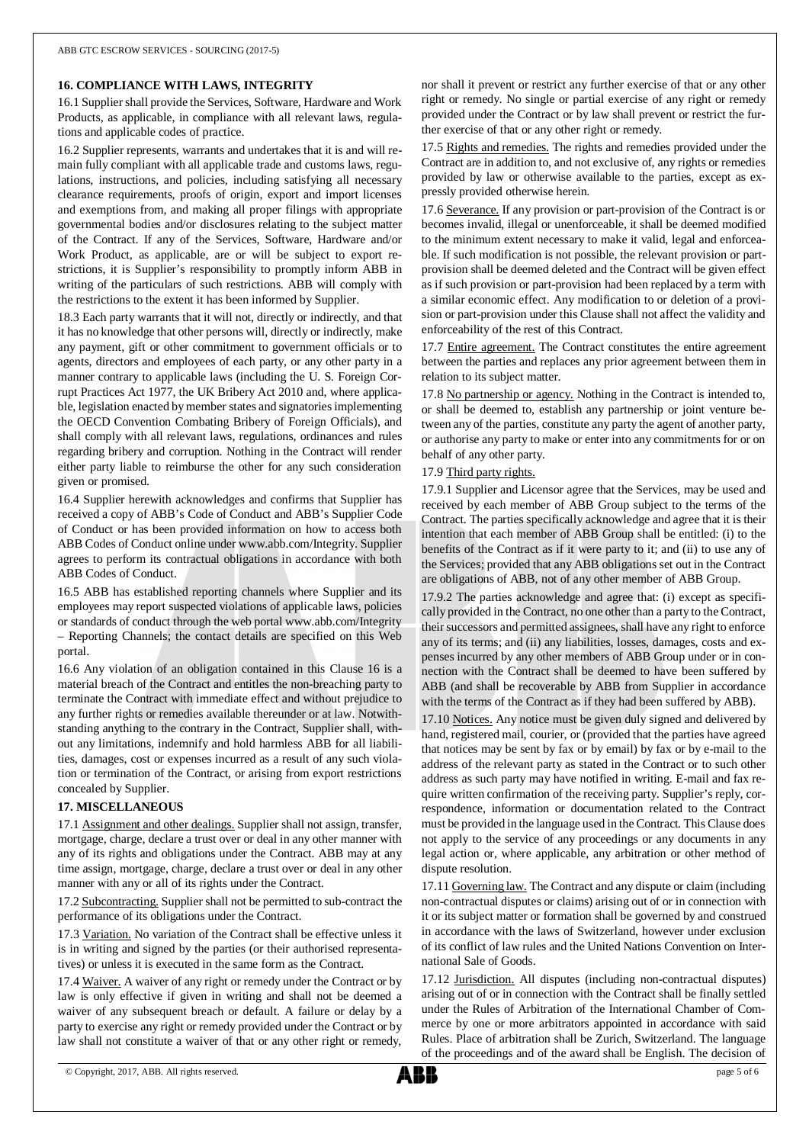#### **16. COMPLIANCE WITH LAWS, INTEGRITY**

16.1 Supplier shall provide the Services, Software, Hardware and Work Products, as applicable, in compliance with all relevant laws, regulations and applicable codes of practice.

16.2 Supplier represents, warrants and undertakes that it is and will remain fully compliant with all applicable trade and customs laws, regulations, instructions, and policies, including satisfying all necessary clearance requirements, proofs of origin, export and import licenses and exemptions from, and making all proper filings with appropriate governmental bodies and/or disclosures relating to the subject matter of the Contract. If any of the Services, Software, Hardware and/or Work Product, as applicable, are or will be subject to export restrictions, it is Supplier's responsibility to promptly inform ABB in writing of the particulars of such restrictions. ABB will comply with the restrictions to the extent it has been informed by Supplier.

18.3 Each party warrants that it will not, directly or indirectly, and that it has no knowledge that other persons will, directly or indirectly, make any payment, gift or other commitment to government officials or to agents, directors and employees of each party, or any other party in a manner contrary to applicable laws (including the U. S. Foreign Corrupt Practices Act 1977, the UK Bribery Act 2010 and, where applicable, legislation enacted by member states and signatories implementing the OECD Convention Combating Bribery of Foreign Officials), and shall comply with all relevant laws, regulations, ordinances and rules regarding bribery and corruption. Nothing in the Contract will render either party liable to reimburse the other for any such consideration given or promised.

16.4 Supplier herewith acknowledges and confirms that Supplier has received a copy of ABB's Code of Conduct and ABB's Supplier Code of Conduct or has been provided information on how to access both ABB Codes of Conduct online under www.abb.com/Integrity. Supplier agrees to perform its contractual obligations in accordance with both ABB Codes of Conduct.

16.5 ABB has established reporting channels where Supplier and its employees may report suspected violations of applicable laws, policies or standards of conduct through the web portal www.abb.com/Integrity – Reporting Channels; the contact details are specified on this Web portal.

16.6 Any violation of an obligation contained in this Clause 16 is a material breach of the Contract and entitles the non-breaching party to terminate the Contract with immediate effect and without prejudice to any further rights or remedies available thereunder or at law. Notwithstanding anything to the contrary in the Contract, Supplier shall, without any limitations, indemnify and hold harmless ABB for all liabilities, damages, cost or expenses incurred as a result of any such violation or termination of the Contract, or arising from export restrictions concealed by Supplier.

## **17. MISCELLANEOUS**

17.1 Assignment and other dealings. Supplier shall not assign, transfer, mortgage, charge, declare a trust over or deal in any other manner with any of its rights and obligations under the Contract. ABB may at any time assign, mortgage, charge, declare a trust over or deal in any other manner with any or all of its rights under the Contract.

17.2 Subcontracting. Supplier shall not be permitted to sub-contract the performance of its obligations under the Contract.

17.3 Variation. No variation of the Contract shall be effective unless it is in writing and signed by the parties (or their authorised representatives) or unless it is executed in the same form as the Contract.

17.4 Waiver. A waiver of any right or remedy under the Contract or by law is only effective if given in writing and shall not be deemed a waiver of any subsequent breach or default. A failure or delay by a party to exercise any right or remedy provided under the Contract or by law shall not constitute a waiver of that or any other right or remedy,

nor shall it prevent or restrict any further exercise of that or any other right or remedy. No single or partial exercise of any right or remedy provided under the Contract or by law shall prevent or restrict the further exercise of that or any other right or remedy.

17.5 Rights and remedies. The rights and remedies provided under the Contract are in addition to, and not exclusive of, any rights or remedies provided by law or otherwise available to the parties, except as expressly provided otherwise herein.

17.6 Severance. If any provision or part-provision of the Contract is or becomes invalid, illegal or unenforceable, it shall be deemed modified to the minimum extent necessary to make it valid, legal and enforceable. If such modification is not possible, the relevant provision or partprovision shall be deemed deleted and the Contract will be given effect as if such provision or part-provision had been replaced by a term with a similar economic effect. Any modification to or deletion of a provision or part-provision under this Clause shall not affect the validity and enforceability of the rest of this Contract.

17.7 Entire agreement. The Contract constitutes the entire agreement between the parties and replaces any prior agreement between them in relation to its subject matter.

17.8 No partnership or agency. Nothing in the Contract is intended to, or shall be deemed to, establish any partnership or joint venture between any of the parties, constitute any party the agent of another party, or authorise any party to make or enter into any commitments for or on behalf of any other party.

#### 17.9 Third party rights.

17.9.1 Supplier and Licensor agree that the Services, may be used and received by each member of ABB Group subject to the terms of the Contract. The parties specifically acknowledge and agree that it is their intention that each member of ABB Group shall be entitled: (i) to the benefits of the Contract as if it were party to it; and (ii) to use any of the Services; provided that any ABB obligations set out in the Contract are obligations of ABB, not of any other member of ABB Group.

17.9.2 The parties acknowledge and agree that: (i) except as specifically provided in the Contract, no one other than a party to the Contract, their successors and permitted assignees, shall have any right to enforce any of its terms; and (ii) any liabilities, losses, damages, costs and expenses incurred by any other members of ABB Group under or in connection with the Contract shall be deemed to have been suffered by ABB (and shall be recoverable by ABB from Supplier in accordance with the terms of the Contract as if they had been suffered by ABB).

17.10 Notices. Any notice must be given duly signed and delivered by hand, registered mail, courier, or (provided that the parties have agreed that notices may be sent by fax or by email) by fax or by e-mail to the address of the relevant party as stated in the Contract or to such other address as such party may have notified in writing. E-mail and fax require written confirmation of the receiving party. Supplier's reply, correspondence, information or documentation related to the Contract must be provided in the language used in the Contract. This Clause does not apply to the service of any proceedings or any documents in any legal action or, where applicable, any arbitration or other method of dispute resolution.

17.11 Governing law. The Contract and any dispute or claim (including non-contractual disputes or claims) arising out of or in connection with it or its subject matter or formation shall be governed by and construed in accordance with the laws of Switzerland, however under exclusion of its conflict of law rules and the United Nations Convention on International Sale of Goods.

17.12 Jurisdiction. All disputes (including non-contractual disputes) arising out of or in connection with the Contract shall be finally settled under the Rules of Arbitration of the International Chamber of Commerce by one or more arbitrators appointed in accordance with said Rules. Place of arbitration shall be Zurich, Switzerland. The language of the proceedings and of the award shall be English. The decision of